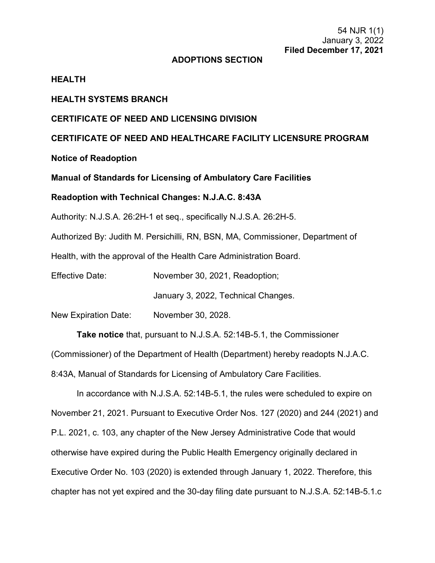# **ADOPTIONS SECTION**

# **HEALTH**

# **HEALTH SYSTEMS BRANCH**

# **CERTIFICATE OF NEED AND LICENSING DIVISION**

**CERTIFICATE OF NEED AND HEALTHCARE FACILITY LICENSURE PROGRAM**

**Notice of Readoption**

**Manual of Standards for Licensing of Ambulatory Care Facilities**

# **Readoption with Technical Changes: N.J.A.C. 8:43A**

Authority: N.J.S.A. 26:2H-1 et seq., specifically N.J.S.A. 26:2H-5.

Authorized By: Judith M. Persichilli, RN, BSN, MA, Commissioner, Department of

Health, with the approval of the Health Care Administration Board.

Effective Date: November 30, 2021, Readoption;

January 3, 2022, Technical Changes.

New Expiration Date: November 30, 2028.

**Take notice** that, pursuant to N.J.S.A. 52:14B-5.1, the Commissioner

(Commissioner) of the Department of Health (Department) hereby readopts N.J.A.C.

8:43A, Manual of Standards for Licensing of Ambulatory Care Facilities.

In accordance with N.J.S.A. 52:14B-5.1, the rules were scheduled to expire on November 21, 2021. Pursuant to Executive Order Nos. 127 (2020) and 244 (2021) and P.L. 2021, c. 103, any chapter of the New Jersey Administrative Code that would otherwise have expired during the Public Health Emergency originally declared in Executive Order No. 103 (2020) is extended through January 1, 2022. Therefore, this chapter has not yet expired and the 30-day filing date pursuant to N.J.S.A. 52:14B-5.1.c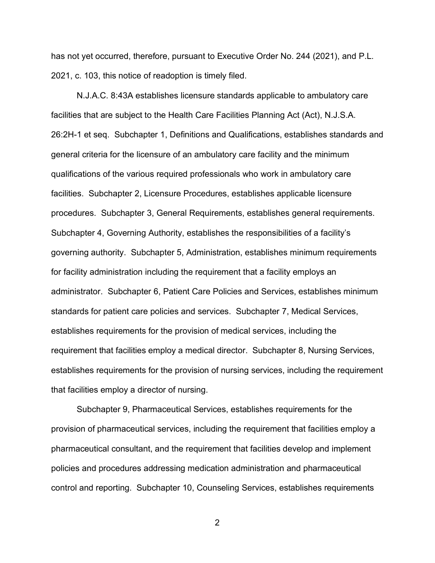has not yet occurred, therefore, pursuant to Executive Order No. 244 (2021), and P.L. 2021, c. 103, this notice of readoption is timely filed.

N.J.A.C. 8:43A establishes licensure standards applicable to ambulatory care facilities that are subject to the Health Care Facilities Planning Act (Act), N.J.S.A. 26:2H-1 et seq. Subchapter 1, Definitions and Qualifications, establishes standards and general criteria for the licensure of an ambulatory care facility and the minimum qualifications of the various required professionals who work in ambulatory care facilities. Subchapter 2, Licensure Procedures, establishes applicable licensure procedures. Subchapter 3, General Requirements, establishes general requirements. Subchapter 4, Governing Authority, establishes the responsibilities of a facility's governing authority. Subchapter 5, Administration, establishes minimum requirements for facility administration including the requirement that a facility employs an administrator. Subchapter 6, Patient Care Policies and Services, establishes minimum standards for patient care policies and services. Subchapter 7, Medical Services, establishes requirements for the provision of medical services, including the requirement that facilities employ a medical director. Subchapter 8, Nursing Services, establishes requirements for the provision of nursing services, including the requirement that facilities employ a director of nursing.

Subchapter 9, Pharmaceutical Services, establishes requirements for the provision of pharmaceutical services, including the requirement that facilities employ a pharmaceutical consultant, and the requirement that facilities develop and implement policies and procedures addressing medication administration and pharmaceutical control and reporting. Subchapter 10, Counseling Services, establishes requirements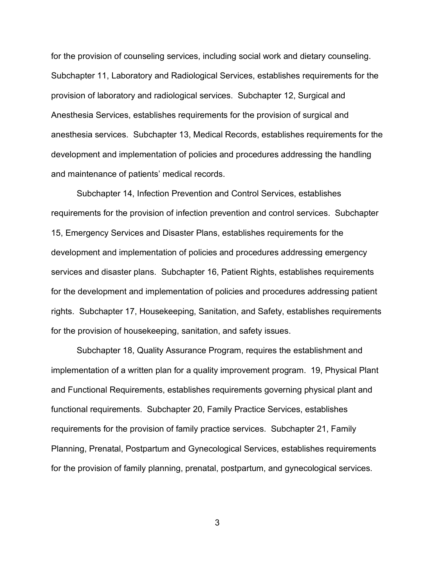for the provision of counseling services, including social work and dietary counseling. Subchapter 11, Laboratory and Radiological Services, establishes requirements for the provision of laboratory and radiological services. Subchapter 12, Surgical and Anesthesia Services, establishes requirements for the provision of surgical and anesthesia services. Subchapter 13, Medical Records, establishes requirements for the development and implementation of policies and procedures addressing the handling and maintenance of patients' medical records.

Subchapter 14, Infection Prevention and Control Services, establishes requirements for the provision of infection prevention and control services. Subchapter 15, Emergency Services and Disaster Plans, establishes requirements for the development and implementation of policies and procedures addressing emergency services and disaster plans. Subchapter 16, Patient Rights, establishes requirements for the development and implementation of policies and procedures addressing patient rights. Subchapter 17, Housekeeping, Sanitation, and Safety, establishes requirements for the provision of housekeeping, sanitation, and safety issues.

Subchapter 18, Quality Assurance Program, requires the establishment and implementation of a written plan for a quality improvement program. 19, Physical Plant and Functional Requirements, establishes requirements governing physical plant and functional requirements. Subchapter 20, Family Practice Services, establishes requirements for the provision of family practice services. Subchapter 21, Family Planning, Prenatal, Postpartum and Gynecological Services, establishes requirements for the provision of family planning, prenatal, postpartum, and gynecological services.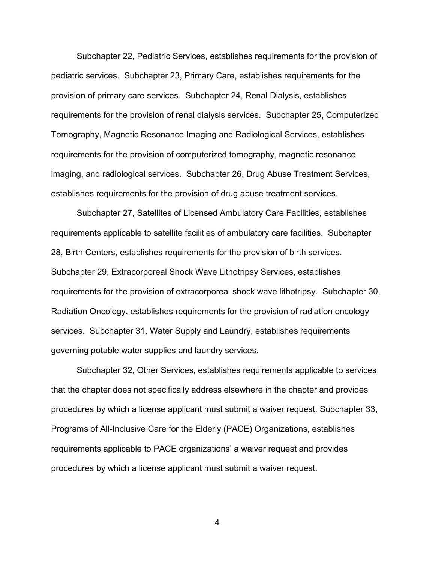Subchapter 22, Pediatric Services, establishes requirements for the provision of pediatric services. Subchapter 23, Primary Care, establishes requirements for the provision of primary care services. Subchapter 24, Renal Dialysis, establishes requirements for the provision of renal dialysis services. Subchapter 25, Computerized Tomography, Magnetic Resonance Imaging and Radiological Services, establishes requirements for the provision of computerized tomography, magnetic resonance imaging, and radiological services. Subchapter 26, Drug Abuse Treatment Services, establishes requirements for the provision of drug abuse treatment services.

Subchapter 27, Satellites of Licensed Ambulatory Care Facilities, establishes requirements applicable to satellite facilities of ambulatory care facilities. Subchapter 28, Birth Centers, establishes requirements for the provision of birth services. Subchapter 29, Extracorporeal Shock Wave Lithotripsy Services, establishes requirements for the provision of extracorporeal shock wave lithotripsy. Subchapter 30, Radiation Oncology, establishes requirements for the provision of radiation oncology services. Subchapter 31, Water Supply and Laundry, establishes requirements governing potable water supplies and laundry services.

Subchapter 32, Other Services, establishes requirements applicable to services that the chapter does not specifically address elsewhere in the chapter and provides procedures by which a license applicant must submit a waiver request. Subchapter 33, Programs of All-Inclusive Care for the Elderly (PACE) Organizations, establishes requirements applicable to PACE organizations' a waiver request and provides procedures by which a license applicant must submit a waiver request.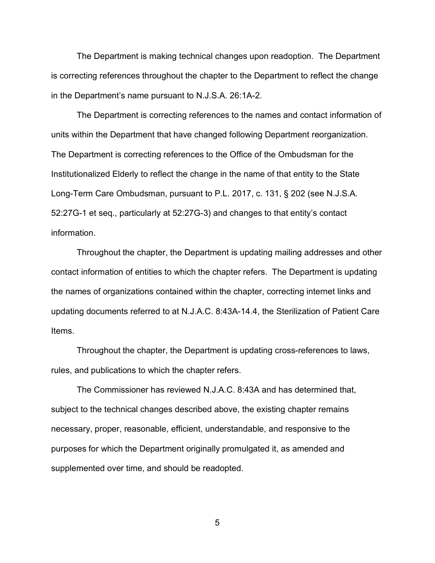The Department is making technical changes upon readoption. The Department is correcting references throughout the chapter to the Department to reflect the change in the Department's name pursuant to [N.J.S.A. 26:1A-2.](https://advance.lexis.com/api/document?collection=statutes-legislation&id=urn:contentItem:5F0Y-C1R1-6F13-00JD-00000-00&context=1000516)

The Department is correcting references to the names and contact information of units within the Department that have changed following Department reorganization. The Department is correcting references to the Office of the Ombudsman for the Institutionalized Elderly to reflect the change in the name of that entity to the State Long-Term Care Ombudsman, pursuant to P.L. 2017, c. 131, § 202 (see [N.J.S.A.](https://advance.lexis.com/api/document?collection=statutes-legislation&id=urn:contentItem:5F0Y-CF01-6F13-0016-00000-00&context=1000516)  [52:27G-1](https://advance.lexis.com/api/document?collection=statutes-legislation&id=urn:contentItem:5F0Y-CF01-6F13-0016-00000-00&context=1000516) et seq., particularly at 52:27G-3) and changes to that entity's contact information.

Throughout the chapter, the Department is updating mailing addresses and other contact information of entities to which the chapter refers. The Department is updating the names of organizations contained within the chapter, correcting internet links and updating documents referred to at N.J.A.C. 8:43A-14.4, the Sterilization of Patient Care Items.

Throughout the chapter, the Department is updating cross-references to laws, rules, and publications to which the chapter refers.

The Commissioner has reviewed N.J.A.C. 8:43A and has determined that, subject to the technical changes described above, the existing chapter remains necessary, proper, reasonable, efficient, understandable, and responsive to the purposes for which the Department originally promulgated it, as amended and supplemented over time, and should be readopted.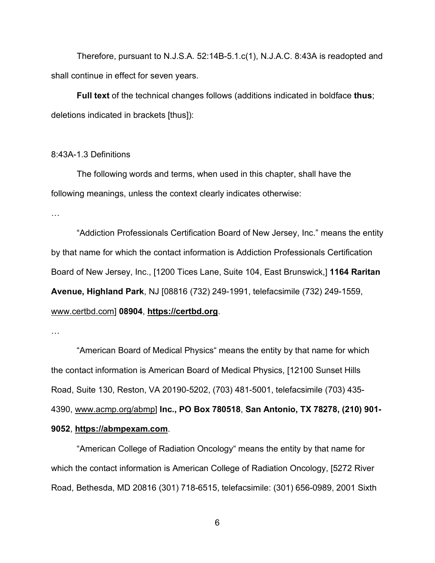Therefore, pursuant to N.J.S.A. 52:14B-5.1.c(1), N.J.A.C. 8:43A is readopted and shall continue in effect for seven years.

**Full text** of the technical changes follows (additions indicated in boldface **thus**; deletions indicated in brackets [thus]):

## 8:43A-1.3 Definitions

The following words and terms, when used in this chapter, shall have the following meanings, unless the context clearly indicates otherwise:

…

"Addiction Professionals Certification Board of New Jersey, Inc." means the entity by that name for which the contact information is Addiction Professionals Certification Board of New Jersey, Inc., [1200 Tices Lane, Suite 104, East Brunswick,] **1164 Raritan Avenue, Highland Park**, NJ [08816 (732) 249-1991, telefacsimile (732) 249-1559, www.certbd.com] **08904**, **[https://certbd.org](https://certbd.org/)**.

…

"American Board of Medical Physics" means the entity by that name for which the contact information is American Board of Medical Physics, [12100 Sunset Hills Road, Suite 130, Reston, VA 20190-5202, (703) 481-5001, telefacsimile (703) 435- 4390, www.acmp.org/abmp] **Inc., PO Box 780518**, **San Antonio, TX 78278, (210) 901- 9052**, **https://abmpexam.com**.

"American College of Radiation Oncology" means the entity by that name for which the contact information is American College of Radiation Oncology, [5272 River Road, Bethesda, MD 20816 (301) 718-6515, telefacsimile: (301) 656-0989, 2001 Sixth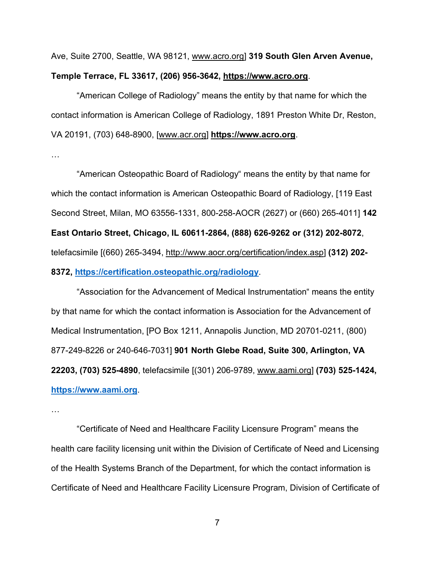Ave, Suite 2700, Seattle, WA 98121, www.acro.org] **319 South Glen Arven Avenue, Temple Terrace, FL 33617, (206) 956-3642, https://www.acro.org**.

"American College of Radiology" means the entity by that name for which the contact information is American College of Radiology, 1891 Preston White Dr, Reston, VA 20191, (703) 648-8900, [www.acr.org] **https://www.acro.org**.

…

"American Osteopathic Board of Radiology" means the entity by that name for which the contact information is American Osteopathic Board of Radiology, [119 East Second Street, Milan, MO 63556-1331, 800-258-AOCR (2627) or (660) 265-4011] **142 East Ontario Street, Chicago, IL 60611-2864, (888) 626-9262 or (312) 202-8072**, telefacsimile [(660) 265-3494, http://www.aocr.org/certification/index.asp] **(312) 202- 8372, <https://certification.osteopathic.org/radiology>**.

"Association for the Advancement of Medical Instrumentation" means the entity by that name for which the contact information is Association for the Advancement of Medical Instrumentation, [PO Box 1211, Annapolis Junction, MD 20701-0211, (800) 877-249-8226 or 240-646-7031] **901 North Glebe Road, Suite 300, Arlington, VA 22203, (703) 525-4890**, telefacsimile [(301) 206-9789, www.aami.org] **(703) 525-1424, [https://www.aami.org](https://www.aami.org/)**.

…

"Certificate of Need and Healthcare Facility Licensure Program" means the health care facility licensing unit within the Division of Certificate of Need and Licensing of the Health Systems Branch of the Department, for which the contact information is Certificate of Need and Healthcare Facility Licensure Program, Division of Certificate of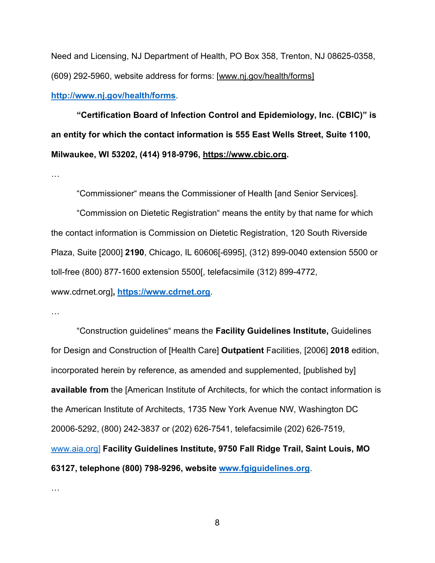Need and Licensing, NJ Department of Health, PO Box 358, Trenton, NJ 08625-0358, (609) 292-5960, website address for forms: [www.nj.gov/health/forms]

**<http://www.nj.gov/health/forms>**.

**"Certification Board of Infection Control and Epidemiology, Inc. (CBIC)" is an entity for which the contact information is 555 East Wells Street, Suite 1100, Milwaukee, WI 53202, (414) 918-9796, https://www.cbic.org[.](https://www.cbic.org/)**

…

"Commissioner" means the Commissioner of Health [and Senior Services].

"Commission on Dietetic Registration" means the entity by that name for which the contact information is Commission on Dietetic Registration, 120 South Riverside Plaza, Suite [2000] **2190**, Chicago, IL 60606[-6995], (312) 899-0040 extension 5500 or toll-free (800) 877-1600 extension 5500[, telefacsimile (312) 899-4772, www.cdrnet.org]**, [https://www.cdrnet.org](https://www.cdrnet.org/)**.

…

"Construction guidelines" means the **Facility Guidelines Institute,** Guidelines for Design and Construction of [Health Care] **Outpatient** Facilities, [2006] **2018** edition, incorporated herein by reference, as amended and supplemented, [published by] **available from** the [American Institute of Architects, for which the contact information is the American Institute of Architects, 1735 New York Avenue NW, Washington DC 20006-5292, (800) 242-3837 or (202) 626-7541, telefacsimile (202) 626-7519, [www.aia.org\]](http://www.aia.org/) **Facility Guidelines Institute, 9750 Fall Ridge Trail, Saint Louis, MO 63127, telephone (800) 798-9296, website [www.fgiguidelines.org](http://www.fgiguidelines.org/)**.

…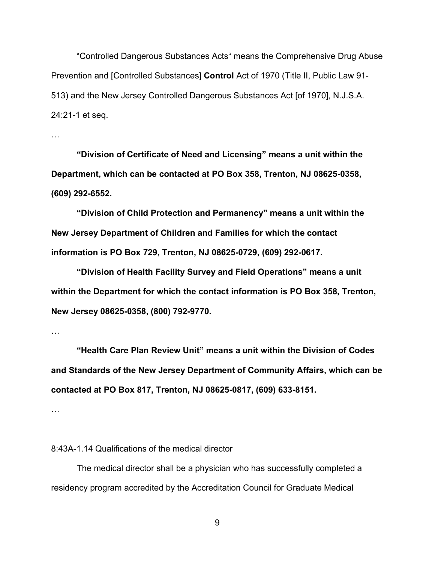"Controlled Dangerous Substances Acts" means the Comprehensive Drug Abuse Prevention and [Controlled Substances] **Control** Act of 1970 (Title II, Public Law 91- 513) and the New Jersey Controlled Dangerous Substances Act [of 1970], N.J.S.A. 24:21-1 et seq.

…

**"Division of Certificate of Need and Licensing" means a unit within the Department, which can be contacted at PO Box 358, Trenton, NJ 08625-0358, (609) 292-6552.**

**"Division of Child Protection and Permanency" means a unit within the New Jersey Department of Children and Families for which the contact information is PO Box 729, Trenton, NJ 08625-0729, (609) 292-0617.**

**"Division of Health Facility Survey and Field Operations" means a unit within the Department for which the contact information is PO Box 358, Trenton, New Jersey 08625-0358, (800) 792-9770.**

…

**"Health Care Plan Review Unit" means a unit within the Division of Codes and Standards of the New Jersey Department of Community Affairs, which can be contacted at PO Box 817, Trenton, NJ 08625-0817, (609) 633-8151.**

…

8:43A-1.14 Qualifications of the medical director

The medical director shall be a physician who has successfully completed a residency program accredited by the Accreditation Council for Graduate Medical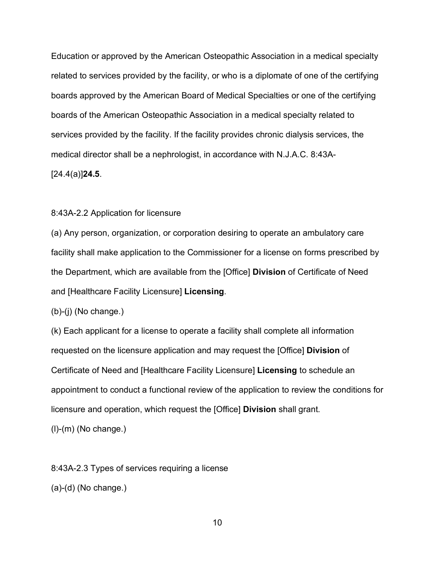Education or approved by the American Osteopathic Association in a medical specialty related to services provided by the facility, or who is a diplomate of one of the certifying boards approved by the American Board of Medical Specialties or one of the certifying boards of the American Osteopathic Association in a medical specialty related to services provided by the facility. If the facility provides chronic dialysis services, the medical director shall be a nephrologist, in accordance with N.J.A.C. 8:43A- [24.4(a)]**24.5**.

# 8:43A-2.2 Application for licensure

(a) Any person, organization, or corporation desiring to operate an ambulatory care facility shall make application to the Commissioner for a license on forms prescribed by the Department, which are available from the [Office] **Division** of Certificate of Need and [Healthcare Facility Licensure] **Licensing**.

(b)-(j) (No change.)

(k) Each applicant for a license to operate a facility shall complete all information requested on the licensure application and may request the [Office] **Division** of Certificate of Need and [Healthcare Facility Licensure] **Licensing** to schedule an appointment to conduct a functional review of the application to review the conditions for licensure and operation, which request the [Office] **Division** shall grant.

(l)-(m) (No change.)

8:43A-2.3 Types of services requiring a license

```
(a)-(d) (No change.)
```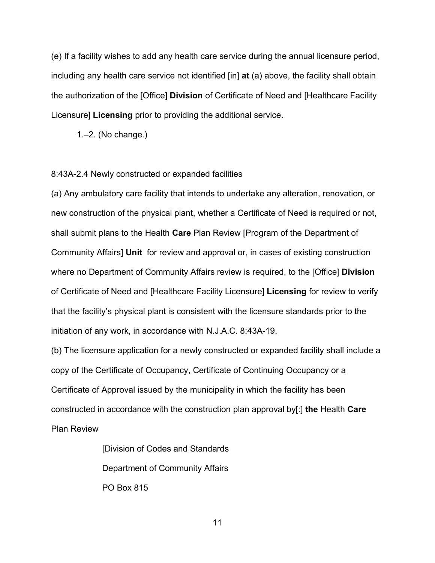(e) If a facility wishes to add any health care service during the annual licensure period, including any health care service not identified [in] **at** (a) above, the facility shall obtain the authorization of the [Office] **Division** of Certificate of Need and [Healthcare Facility Licensure] **Licensing** prior to providing the additional service.

1 $-2$ . (No change.)

## 8:43A-2.4 Newly constructed or expanded facilities

(a) Any ambulatory care facility that intends to undertake any alteration, renovation, or new construction of the physical plant, whether a Certificate of Need is required or not, shall submit plans to the Health **Care** Plan Review [Program of the Department of Community Affairs] **Unit** for review and approval or, in cases of existing construction where no Department of Community Affairs review is required, to the [Office] **Division** of Certificate of Need and [Healthcare Facility Licensure] **Licensing** for review to verify that the facility's physical plant is consistent with the licensure standards prior to the initiation of any work, in accordance with N.J.A.C. 8:43A-19.

(b) The licensure application for a newly constructed or expanded facility shall include a copy of the Certificate of Occupancy, Certificate of Continuing Occupancy or a Certificate of Approval issued by the municipality in which the facility has been constructed in accordance with the construction plan approval by[:] **the** Health **Care** Plan Review

> [Division of Codes and Standards Department of Community Affairs PO Box 815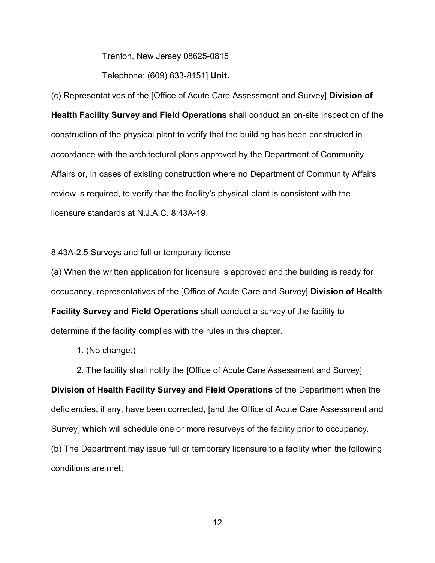Trenton, New Jersey 08625-0815

Telephone: (609) 633-8151] **Unit.**

(c) Representatives of the [Office of Acute Care Assessment and Survey] **Division of Health Facility Survey and Field Operations** shall conduct an on-site inspection of the construction of the physical plant to verify that the building has been constructed in accordance with the architectural plans approved by the Department of Community Affairs or, in cases of existing construction where no Department of Community Affairs review is required, to verify that the facility's physical plant is consistent with the licensure standards at N.J.A.C. 8:43A-19.

8:43A-2.5 Surveys and full or temporary license

(a) When the written application for licensure is approved and the building is ready for occupancy, representatives of the [Office of Acute Care and Survey] **Division of Health Facility Survey and Field Operations** shall conduct a survey of the facility to determine if the facility complies with the rules in this chapter.

1. (No change.)

2. The facility shall notify the [Office of Acute Care Assessment and Survey] **Division of Health Facility Survey and Field Operations** of the Department when the deficiencies, if any, have been corrected, [and the Office of Acute Care Assessment and Survey] **which** will schedule one or more resurveys of the facility prior to occupancy. (b) The Department may issue full or temporary licensure to a facility when the following conditions are met;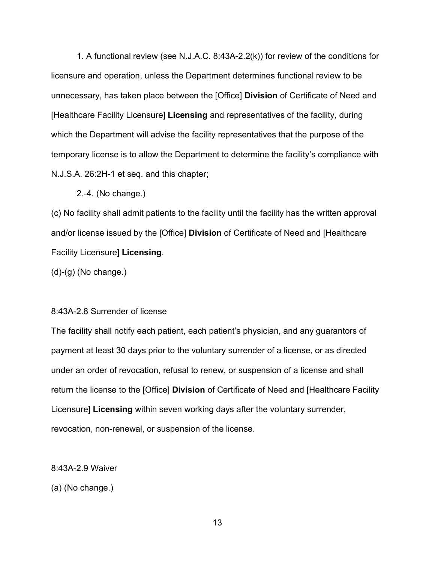1. A functional review (see N.J.A.C. 8:43A-2.2(k)) for review of the conditions for licensure and operation, unless the Department determines functional review to be unnecessary, has taken place between the [Office] **Division** of Certificate of Need and [Healthcare Facility Licensure] **Licensing** and representatives of the facility, during which the Department will advise the facility representatives that the purpose of the temporary license is to allow the Department to determine the facility's compliance with N.J.S.A. 26:2H-1 et seq. and this chapter;

2.-4. (No change.)

(c) No facility shall admit patients to the facility until the facility has the written approval and/or license issued by the [Office] **Division** of Certificate of Need and [Healthcare Facility Licensure] **Licensing**.

(d)-(g) (No change.)

## 8:43A-2.8 Surrender of license

The facility shall notify each patient, each patient's physician, and any guarantors of payment at least 30 days prior to the voluntary surrender of a license, or as directed under an order of revocation, refusal to renew, or suspension of a license and shall return the license to the [Office] **Division** of Certificate of Need and [Healthcare Facility Licensure] **Licensing** within seven working days after the voluntary surrender, revocation, non-renewal, or suspension of the license.

8:43A-2.9 Waiver

(a) (No change.)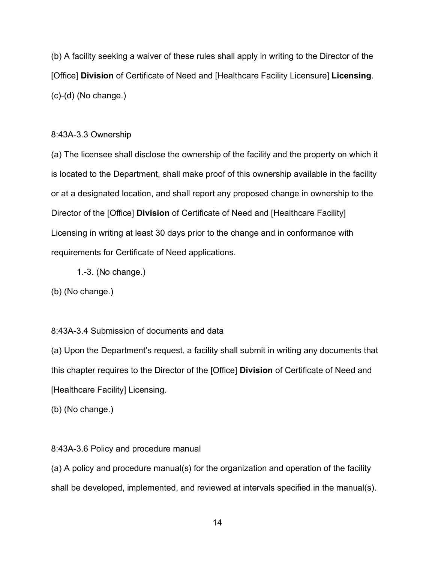(b) A facility seeking a waiver of these rules shall apply in writing to the Director of the [Office] **Division** of Certificate of Need and [Healthcare Facility Licensure] **Licensing**. (c)-(d) (No change.)

# 8:43A-3.3 Ownership

(a) The licensee shall disclose the ownership of the facility and the property on which it is located to the Department, shall make proof of this ownership available in the facility or at a designated location, and shall report any proposed change in ownership to the Director of the [Office] **Division** of Certificate of Need and [Healthcare Facility] Licensing in writing at least 30 days prior to the change and in conformance with requirements for Certificate of Need applications.

1.-3. (No change.)

(b) (No change.)

# 8:43A-3.4 Submission of documents and data

(a) Upon the Department's request, a facility shall submit in writing any documents that this chapter requires to the Director of the [Office] **Division** of Certificate of Need and [Healthcare Facility] Licensing.

(b) (No change.)

# 8:43A-3.6 Policy and procedure manual

(a) A policy and procedure manual(s) for the organization and operation of the facility shall be developed, implemented, and reviewed at intervals specified in the manual(s).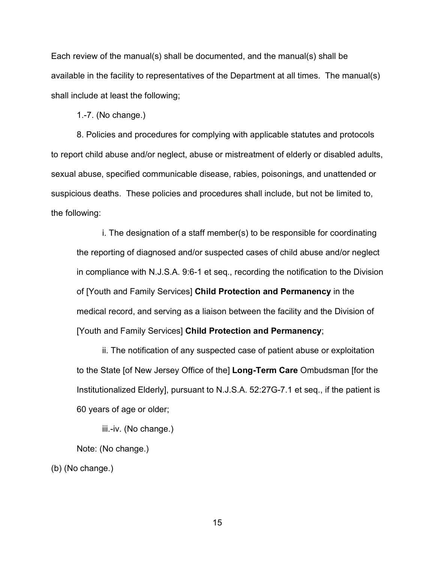Each review of the manual(s) shall be documented, and the manual(s) shall be available in the facility to representatives of the Department at all times. The manual(s) shall include at least the following;

1.-7. (No change.)

8. Policies and procedures for complying with applicable statutes and protocols to report child abuse and/or neglect, abuse or mistreatment of elderly or disabled adults, sexual abuse, specified communicable disease, rabies, poisonings, and unattended or suspicious deaths. These policies and procedures shall include, but not be limited to, the following:

i. The designation of a staff member(s) to be responsible for coordinating the reporting of diagnosed and/or suspected cases of child abuse and/or neglect in compliance with N.J.S.A. 9:6-1 et seq., recording the notification to the Division of [Youth and Family Services] **Child Protection and Permanency** in the medical record, and serving as a liaison between the facility and the Division of [Youth and Family Services] **Child Protection and Permanency**;

ii. The notification of any suspected case of patient abuse or exploitation to the State [of New Jersey Office of the] **Long-Term Care** Ombudsman [for the Institutionalized Elderly], pursuant to N.J.S.A. 52:27G-7.1 et seq., if the patient is 60 years of age or older;

iii.-iv. (No change.)

Note: (No change.)

(b) (No change.)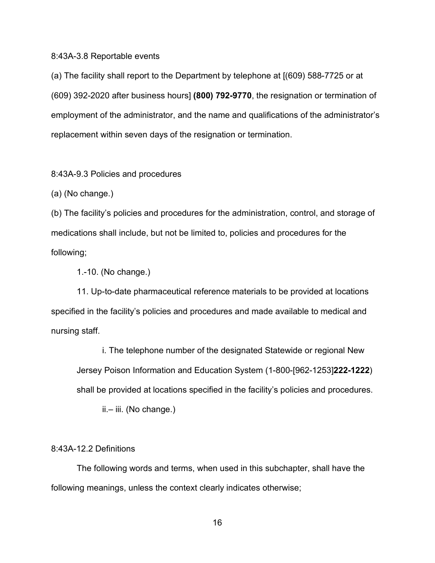#### 8:43A-3.8 Reportable events

(a) The facility shall report to the Department by telephone at [(609) 588-7725 or at (609) 392-2020 after business hours] **(800) 792-9770**, the resignation or termination of employment of the administrator, and the name and qualifications of the administrator's replacement within seven days of the resignation or termination.

8:43A-9.3 Policies and procedures

(a) (No change.)

(b) The facility's policies and procedures for the administration, control, and storage of medications shall include, but not be limited to, policies and procedures for the following;

1.-10. (No change.)

11. Up-to-date pharmaceutical reference materials to be provided at locations specified in the facility's policies and procedures and made available to medical and nursing staff.

i. The telephone number of the designated Statewide or regional New Jersey Poison Information and Education System (1-800-[962-1253]**222-1222**) shall be provided at locations specified in the facility's policies and procedures.

ii.– iii. (No change.)

#### 8:43A-12.2 Definitions

The following words and terms, when used in this subchapter, shall have the following meanings, unless the context clearly indicates otherwise;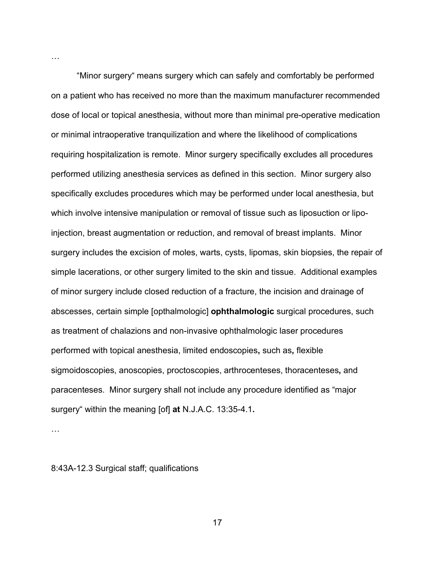"Minor surgery" means surgery which can safely and comfortably be performed on a patient who has received no more than the maximum manufacturer recommended dose of local or topical anesthesia, without more than minimal pre-operative medication or minimal intraoperative tranquilization and where the likelihood of complications requiring hospitalization is remote. Minor surgery specifically excludes all procedures performed utilizing anesthesia services as defined in this section. Minor surgery also specifically excludes procedures which may be performed under local anesthesia, but which involve intensive manipulation or removal of tissue such as liposuction or lipoinjection, breast augmentation or reduction, and removal of breast implants. Minor surgery includes the excision of moles, warts, cysts, lipomas, skin biopsies, the repair of simple lacerations, or other surgery limited to the skin and tissue. Additional examples of minor surgery include closed reduction of a fracture, the incision and drainage of abscesses, certain simple [opthalmologic] **ophthalmologic** surgical procedures, such as treatment of chalazions and non-invasive ophthalmologic laser procedures performed with topical anesthesia, limited endoscopies**,** such as**,** flexible sigmoidoscopies, anoscopies, proctoscopies, arthrocenteses, thoracenteses**,** and paracenteses. Minor surgery shall not include any procedure identified as "major surgery" within the meaning [of] **at** N.J.A.C. 13:35-4.1**.**

…

…

8:43A-12.3 Surgical staff; qualifications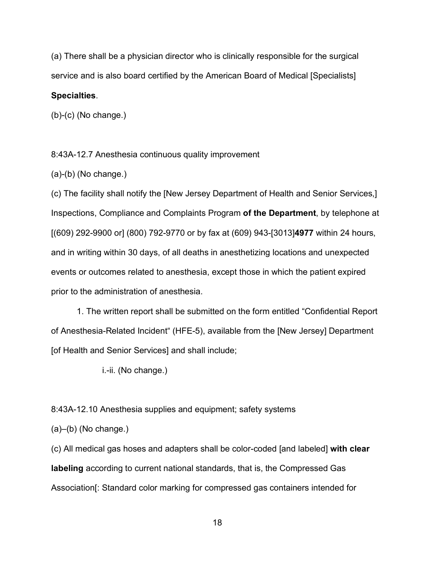(a) There shall be a physician director who is clinically responsible for the surgical service and is also board certified by the American Board of Medical [Specialists]

# **Specialties**.

(b)-(c) (No change.)

8:43A-12.7 Anesthesia continuous quality improvement

(a)-(b) (No change.)

(c) The facility shall notify the [New Jersey Department of Health and Senior Services,] Inspections, Compliance and Complaints Program **of the Department**, by telephone at [(609) 292-9900 or] (800) 792-9770 or by fax at (609) 943-[3013]**4977** within 24 hours, and in writing within 30 days, of all deaths in anesthetizing locations and unexpected events or outcomes related to anesthesia, except those in which the patient expired prior to the administration of anesthesia.

1. The written report shall be submitted on the form entitled "Confidential Report of Anesthesia-Related Incident" (HFE-5), available from the [New Jersey] Department [of Health and Senior Services] and shall include;

i.-ii. (No change.)

8:43A-12.10 Anesthesia supplies and equipment; safety systems

 $(a)$ – $(b)$  (No change.)

(c) All medical gas hoses and adapters shall be color-coded [and labeled] **with clear labeling** according to current national standards, that is, the Compressed Gas Association[: Standard color marking for compressed gas containers intended for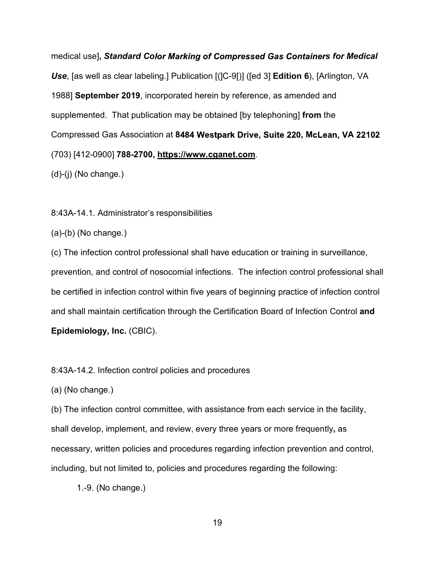medical use], Standard Color Marking of Compressed Gas Containers for Medical *Use*, [as well as clear labeling.] Publication [(]C-9[)] ([ed 3] **Edition 6**), [Arlington, VA 1988] **September 2019**, incorporated herein by reference, as amended and supplemented. That publication may be obtained [by telephoning] **from** the Compressed Gas Association at 8484 Westpark Drive, Suite 220, McLean, VA 22102 (703) [412-0900] **788-2700, https://www.cganet.com**.

(d)-(j) (No change.)

8:43A-14.1. Administrator's responsibilities

 $(a)-(b)$  (No change.)

(c) The infection control professional shall have education or training in surveillance, prevention, and control of nosocomial infections. The infection control professional shall be certified in infection control within five years of beginning practice of infection control and shall maintain certification through the Certification Board of Infection Control **and Epidemiology, Inc.** (CBIC).

8:43A-14.2. Infection control policies and procedures

(a) (No change.)

(b) The infection control committee, with assistance from each service in the facility, shall develop, implement, and review, every three years or more frequently**,** as necessary, written policies and procedures regarding infection prevention and control, including, but not limited to, policies and procedures regarding the following:

1.-9. (No change.)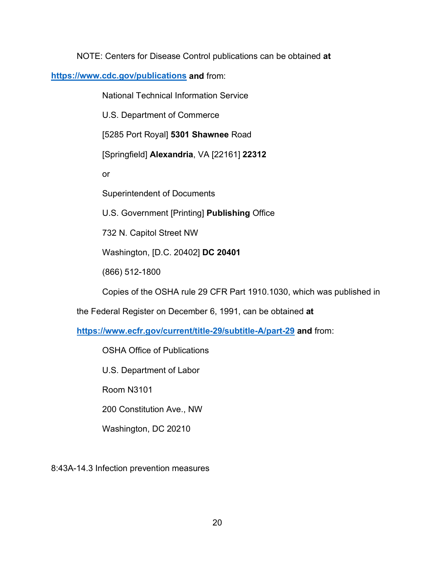NOTE: Centers for Disease Control publications can be obtained **at** 

**<https://www.cdc.gov/publications> and** from:

National Technical Information Service

U.S. Department of Commerce

[5285 Port Royal] **5301 Shawnee** Road

[Springfield] **Alexandria**, VA [22161] **22312**

or

Superintendent of Documents

U.S. Government [Printing] **Publishing** Office

732 N. Capitol Street NW

Washington, [D.C. 20402] **DC 20401**

(866) 512-1800

Copies of the OSHA rule 29 CFR Part 1910.1030, which was published in

the Federal Register on December 6, 1991, can be obtained **at** 

**<https://www.ecfr.gov/current/title-29/subtitle-A/part-29> and** from:

OSHA Office of Publications

U.S. Department of Labor

Room N3101

200 Constitution Ave., NW

Washington, DC 20210

8:43A-14.3 Infection prevention measures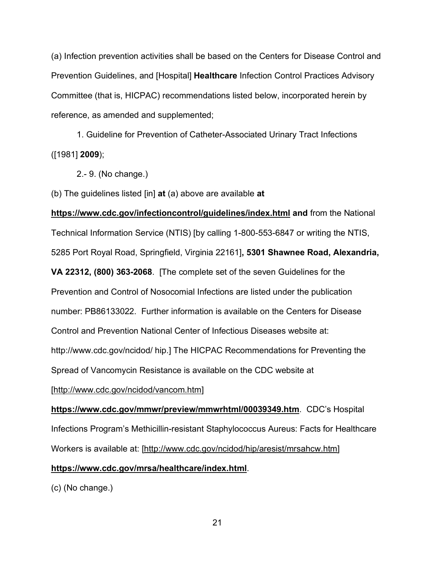(a) Infection prevention activities shall be based on the Centers for Disease Control and Prevention Guidelines, and [Hospital] **Healthcare** Infection Control Practices Advisory Committee (that is, HICPAC) recommendations listed below, incorporated herein by reference, as amended and supplemented;

1. Guideline for Prevention of Catheter-Associated Urinary Tract Infections ([1981] **2009**);

2.- 9. (No change.)

(b) The guidelines listed [in] **at** (a) above are available **at** 

**https://www.cdc.gov/infectioncontrol/guidelines/index.html and** from the National Technical Information Service (NTIS) [by calling 1-800-553-6847 or writing the NTIS, 5285 Port Royal Road, Springfield, Virginia 22161]**, 5301 Shawnee Road, Alexandria,** 

**VA 22312, (800) 363-2068**. [The complete set of the seven Guidelines for the Prevention and Control of Nosocomial Infections are listed under the publication number: PB86133022. Further information is available on the Centers for Disease Control and Prevention National Center of Infectious Diseases website at: http://www.cdc.gov/ncidod/ hip.] The HICPAC Recommendations for Preventing the

Spread of Vancomycin Resistance is available on the CDC website at

[http://www.cdc.gov/ncidod/vancom.htm]

**https://www.cdc.gov/mmwr/preview/mmwrhtml/00039349.htm**. CDC's Hospital Infections Program's Methicillin-resistant Staphylococcus Aureus: Facts for Healthcare Workers is available at: [http://www.cdc.gov/ncidod/hip/aresist/mrsahcw.htm]

# **https://www.cdc.gov/mrsa/healthcare/index.html**.

(c) (No change.)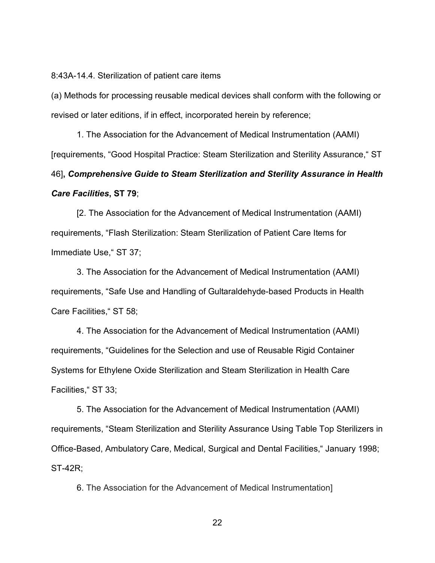8:43A-14.4. Sterilization of patient care items

(a) Methods for processing reusable medical devices shall conform with the following or revised or later editions, if in effect, incorporated herein by reference;

1. The Association for the Advancement of Medical Instrumentation (AAMI) [requirements, "Good Hospital Practice: Steam Sterilization and Sterility Assurance," ST

46]**,** *Comprehensive Guide to Steam Sterilization and Sterility Assurance in Health Care Facilities***, ST 79**;

[2. The Association for the Advancement of Medical Instrumentation (AAMI) requirements, "Flash Sterilization: Steam Sterilization of Patient Care Items for Immediate Use," ST 37;

3. The Association for the Advancement of Medical Instrumentation (AAMI) requirements, "Safe Use and Handling of Gultaraldehyde-based Products in Health Care Facilities," ST 58;

4. The Association for the Advancement of Medical Instrumentation (AAMI) requirements, "Guidelines for the Selection and use of Reusable Rigid Container Systems for Ethylene Oxide Sterilization and Steam Sterilization in Health Care Facilities," ST 33;

5. The Association for the Advancement of Medical Instrumentation (AAMI) requirements, "Steam Sterilization and Sterility Assurance Using Table Top Sterilizers in Office-Based, Ambulatory Care, Medical, Surgical and Dental Facilities," January 1998; ST-42R;

6. The Association for the Advancement of Medical Instrumentation]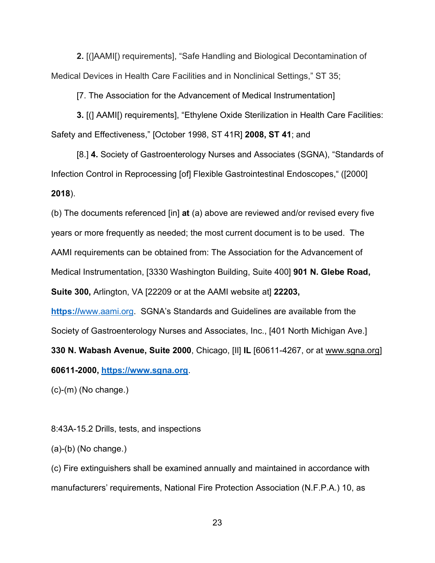**2.** [(]AAMI[) requirements], "Safe Handling and Biological Decontamination of Medical Devices in Health Care Facilities and in Nonclinical Settings," ST 35;

[7. The Association for the Advancement of Medical Instrumentation]

**3.** [(] AAMI[) requirements], "Ethylene Oxide Sterilization in Health Care Facilities: Safety and Effectiveness," [October 1998, ST 41R] **2008, ST 41**; and

[8.] **4.** Society of Gastroenterology Nurses and Associates (SGNA), "Standards of Infection Control in Reprocessing [of] Flexible Gastrointestinal Endoscopes," ([2000] **2018**).

(b) The documents referenced [in] **at** (a) above are reviewed and/or revised every five years or more frequently as needed; the most current document is to be used. The AAMI requirements can be obtained from: The Association for the Advancement of Medical Instrumentation, [3330 Washington Building, Suite 400] **901 N. Glebe Road, Suite 300,** Arlington, VA [22209 or at the AAMI website at] **22203,**

**https://**[www.aami.org.](https://www.aami.org/) SGNA's Standards and Guidelines are available from the Society of Gastroenterology Nurses and Associates, Inc., [401 North Michigan Ave.] **330 N. Wabash Avenue, Suite 2000**, Chicago, [Il] **IL** [60611-4267, or at www.sgna.org] **60611-2000, [https://www.sgna.org](https://www.sgna.org/)**.

(c)-(m) (No change.)

# 8:43A-15.2 Drills, tests, and inspections

(a)-(b) (No change.)

(c) Fire extinguishers shall be examined annually and maintained in accordance with manufacturers' requirements, National Fire Protection Association (N.F.P.A.) 10, as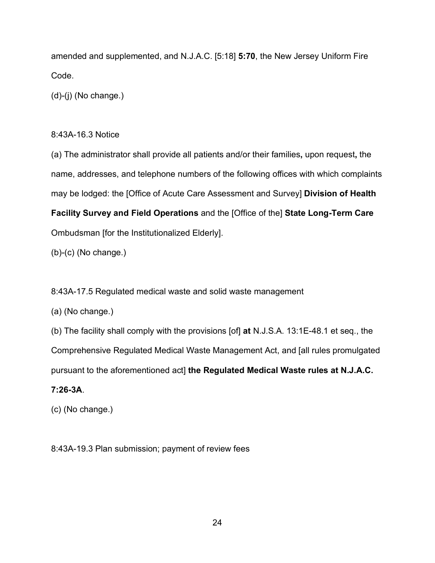amended and supplemented, and N.J.A.C. [5:18] **5:70**, the New Jersey Uniform Fire Code.

(d)-(j) (No change.)

# 8:43A-16.3 Notice

(a) The administrator shall provide all patients and/or their families**,** upon request**,** the name, addresses, and telephone numbers of the following offices with which complaints may be lodged: the [Office of Acute Care Assessment and Survey] **Division of Health Facility Survey and Field Operations** and the [Office of the] **State Long-Term Care**  Ombudsman [for the Institutionalized Elderly].

(b)-(c) (No change.)

8:43A-17.5 Regulated medical waste and solid waste management

(a) (No change.)

(b) The facility shall comply with the provisions [of] **at** N.J.S.A. 13:1E-48.1 et seq., the

Comprehensive Regulated Medical Waste Management Act, and [all rules promulgated

pursuant to the aforementioned act] **the Regulated Medical Waste rules at N.J.A.C.** 

# **7:26-3A**.

(c) (No change.)

8:43A-19.3 Plan submission; payment of review fees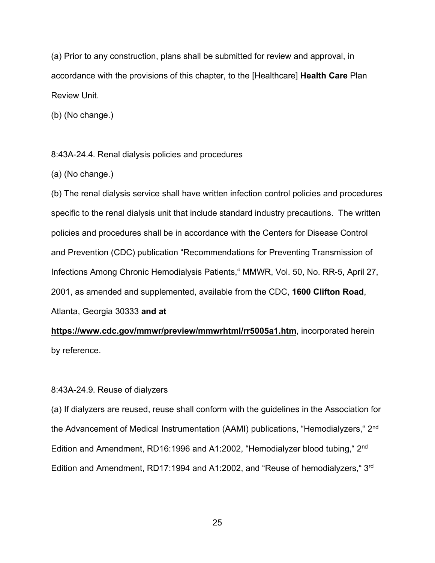(a) Prior to any construction, plans shall be submitted for review and approval, in accordance with the provisions of this chapter, to the [Healthcare] **Health Care** Plan Review Unit.

(b) (No change.)

8:43A-24.4. Renal dialysis policies and procedures

(a) (No change.)

(b) The renal dialysis service shall have written infection control policies and procedures specific to the renal dialysis unit that include standard industry precautions. The written policies and procedures shall be in accordance with the Centers for Disease Control and Prevention (CDC) publication "Recommendations for Preventing Transmission of Infections Among Chronic Hemodialysis Patients," MMWR, Vol. 50, No. RR-5, April 27, 2001, as amended and supplemented, available from the CDC, **1600 Clifton Road**, Atlanta, Georgia 30333 **and at**

**https://www.cdc.gov/mmwr/preview/mmwrhtml/rr5005a1.htm**, incorporated herein by reference.

## 8:43A-24.9. Reuse of dialyzers

(a) If dialyzers are reused, reuse shall conform with the guidelines in the Association for the Advancement of Medical Instrumentation (AAMI) publications, "Hemodialyzers," 2nd Edition and Amendment, RD16:1996 and A1:2002, "Hemodialyzer blood tubing," 2<sup>nd</sup> Edition and Amendment, RD17:1994 and A1:2002, and "Reuse of hemodialyzers," 3rd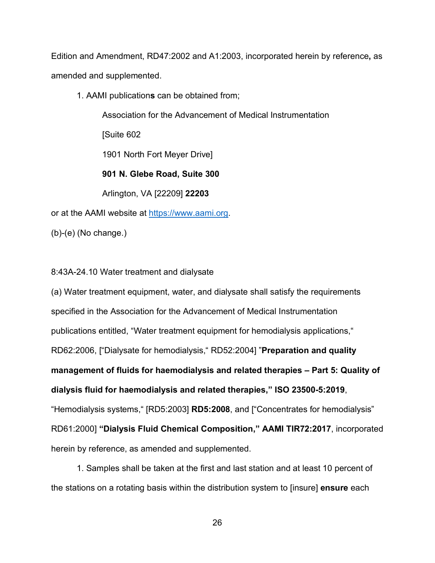Edition and Amendment, RD47:2002 and A1:2003, incorporated herein by reference**,** as amended and supplemented.

1. AAMI publication**s** can be obtained from;

Association for the Advancement of Medical Instrumentation

[Suite 602

1901 North Fort Meyer Drive]

**901 N. Glebe Road, Suite 300**

Arlington, VA [22209] **22203**

or at the AAMI website at [https://www.aami.org.](https://www.aami.org/)

(b)-(e) (No change.)

8:43A-24.10 Water treatment and dialysate

(a) Water treatment equipment, water, and dialysate shall satisfy the requirements specified in the Association for the Advancement of Medical Instrumentation publications entitled, "Water treatment equipment for hemodialysis applications," RD62:2006, ["Dialysate for hemodialysis," RD52:2004] "**Preparation and quality management of fluids for haemodialysis and related therapies – Part 5: Quality of dialysis fluid for haemodialysis and related therapies," ISO 23500-5:2019**, "Hemodialysis systems," [RD5:2003] **RD5:2008**, and ["Concentrates for hemodialysis" RD61:2000] **"Dialysis Fluid Chemical Composition," AAMI TIR72:2017**, incorporated herein by reference, as amended and supplemented.

1. Samples shall be taken at the first and last station and at least 10 percent of the stations on a rotating basis within the distribution system to [insure] **ensure** each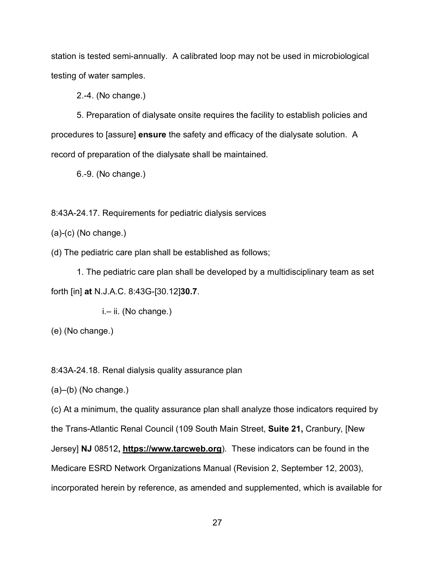station is tested semi-annually. A calibrated loop may not be used in microbiological testing of water samples.

2.-4. (No change.)

5. Preparation of dialysate onsite requires the facility to establish policies and procedures to [assure] **ensure** the safety and efficacy of the dialysate solution. A record of preparation of the dialysate shall be maintained.

6.-9. (No change.)

8:43A-24.17. Requirements for pediatric dialysis services

(a)-(c) (No change.)

(d) The pediatric care plan shall be established as follows;

1. The pediatric care plan shall be developed by a multidisciplinary team as set forth [in] **at** N.J.A.C. 8:43G-[30.12]**30.7**.

i.– ii. (No change.)

(e) (No change.)

8:43A-24.18. Renal dialysis quality assurance plan

 $(a)$ – $(b)$  (No change.)

(c) At a minimum, the quality assurance plan shall analyze those indicators required by

the Trans-Atlantic Renal Council (109 South Main Street, **Suite 21,** Cranbury, [New

Jersey] **NJ** 08512**, https://www.tarcweb.org**). These indicators can be found in the

Medicare ESRD Network Organizations Manual (Revision 2, September 12, 2003),

incorporated herein by reference, as amended and supplemented, which is available for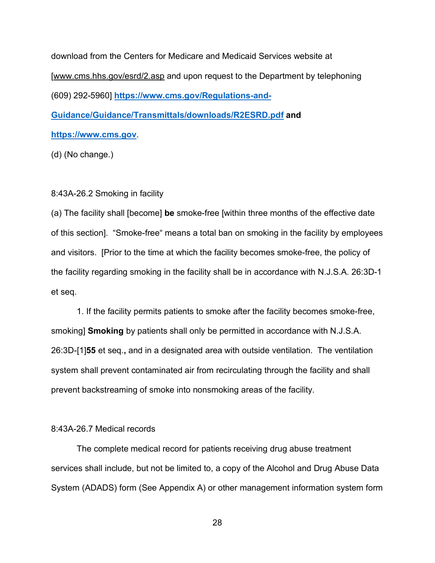download from the Centers for Medicare and Medicaid Services website at [www.cms.hhs.gov/esrd/2.asp and upon request to the Department by telephoning (609) 292-5960] **[https://www.cms.gov/Regulations-and-](https://www.cms.gov/Regulations-and-Guidance/Guidance/Transmittals/downloads/R2ESRD.pdf)[Guidance/Guidance/Transmittals/downloads/R2ESRD.pdf](https://www.cms.gov/Regulations-and-Guidance/Guidance/Transmittals/downloads/R2ESRD.pdf) and [https://www.cms.gov](https://www.cms.gov/)**.

(d) (No change.)

## 8:43A-26.2 Smoking in facility

(a) The facility shall [become] **be** smoke-free [within three months of the effective date of this section]. "Smoke-free" means a total ban on smoking in the facility by employees and visitors. [Prior to the time at which the facility becomes smoke-free, the policy of the facility regarding smoking in the facility shall be in accordance with N.J.S.A. 26:3D-1 et seq.

1. If the facility permits patients to smoke after the facility becomes smoke-free, smoking] **Smoking** by patients shall only be permitted in accordance with N.J.S.A. 26:3D-[1]**55** et seq.**,** and in a designated area with outside ventilation. The ventilation system shall prevent contaminated air from recirculating through the facility and shall prevent backstreaming of smoke into nonsmoking areas of the facility.

## 8:43A-26.7 Medical records

The complete medical record for patients receiving drug abuse treatment services shall include, but not be limited to, a copy of the Alcohol and Drug Abuse Data System (ADADS) form (See Appendix A) or other management information system form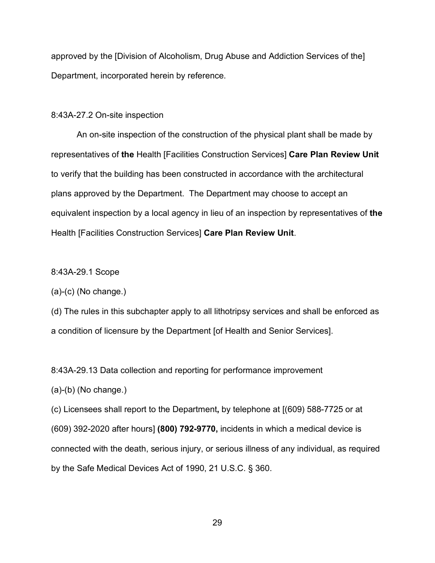approved by the [Division of Alcoholism, Drug Abuse and Addiction Services of the] Department, incorporated herein by reference.

#### 8:43A-27.2 On-site inspection

An on-site inspection of the construction of the physical plant shall be made by representatives of **the** Health [Facilities Construction Services] **Care Plan Review Unit**  to verify that the building has been constructed in accordance with the architectural plans approved by the Department. The Department may choose to accept an equivalent inspection by a local agency in lieu of an inspection by representatives of **the**  Health [Facilities Construction Services] **Care Plan Review Unit**.

8:43A-29.1 Scope

(a)-(c) (No change.)

(d) The rules in this subchapter apply to all lithotripsy services and shall be enforced as a condition of licensure by the Department [of Health and Senior Services].

8:43A-29.13 Data collection and reporting for performance improvement

(a)-(b) (No change.)

(c) Licensees shall report to the Department**,** by telephone at [(609) 588-7725 or at (609) 392-2020 after hours] **(800) 792-9770,** incidents in which a medical device is connected with the death, serious injury, or serious illness of any individual, as required by the Safe Medical Devices Act of 1990, 21 U.S.C. § 360.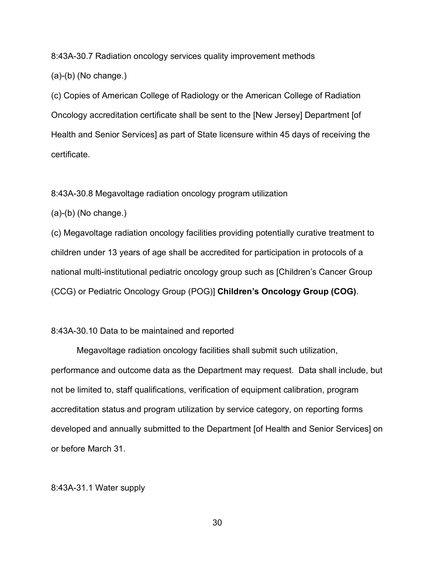8:43A-30.7 Radiation oncology services quality improvement methods

(a)-(b) (No change.)

(c) Copies of American College of Radiology or the American College of Radiation Oncology accreditation certificate shall be sent to the [New Jersey] Department [of Health and Senior Services] as part of State licensure within 45 days of receiving the certificate.

8:43A-30.8 Megavoltage radiation oncology program utilization

(a)-(b) (No change.)

(c) Megavoltage radiation oncology facilities providing potentially curative treatment to children under 13 years of age shall be accredited for participation in protocols of a national multi-institutional pediatric oncology group such as [Children's Cancer Group (CCG) or Pediatric Oncology Group (POG)] **Children's Oncology Group (COG)**.

## 8:43A-30.10 Data to be maintained and reported

Megavoltage radiation oncology facilities shall submit such utilization, performance and outcome data as the Department may request. Data shall include, but not be limited to, staff qualifications, verification of equipment calibration, program accreditation status and program utilization by service category, on reporting forms developed and annually submitted to the Department [of Health and Senior Services] on or before March 31.

# 8:43A-31.1 Water supply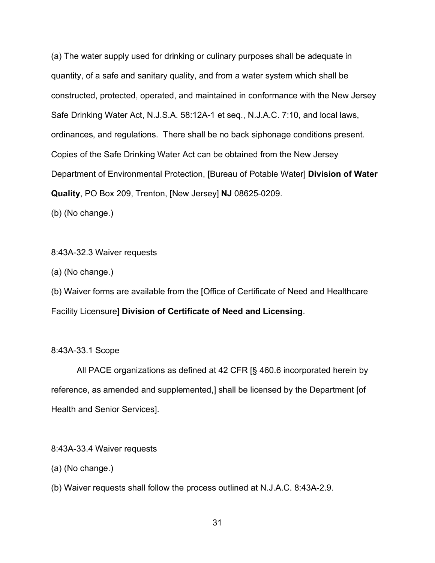(a) The water supply used for drinking or culinary purposes shall be adequate in quantity, of a safe and sanitary quality, and from a water system which shall be constructed, protected, operated, and maintained in conformance with the New Jersey Safe Drinking Water Act, N.J.S.A. 58:12A-1 et seq., N.J.A.C. 7:10, and local laws, ordinances, and regulations. There shall be no back siphonage conditions present. Copies of the Safe Drinking Water Act can be obtained from the New Jersey Department of Environmental Protection, [Bureau of Potable Water] **Division of Water Quality**, PO Box 209, Trenton, [New Jersey] **NJ** 08625-0209.

(b) (No change.)

## 8:43A-32.3 Waiver requests

(a) (No change.)

(b) Waiver forms are available from the [Office of Certificate of Need and Healthcare Facility Licensure] **Division of Certificate of Need and Licensing**.

## 8:43A-33.1 Scope

All PACE organizations as defined at 42 CFR [§ 460.6 incorporated herein by reference, as amended and supplemented,] shall be licensed by the Department [of Health and Senior Services].

8:43A-33.4 Waiver requests

(a) (No change.)

(b) Waiver requests shall follow the process outlined at N.J.A.C. 8:43A-2.9.